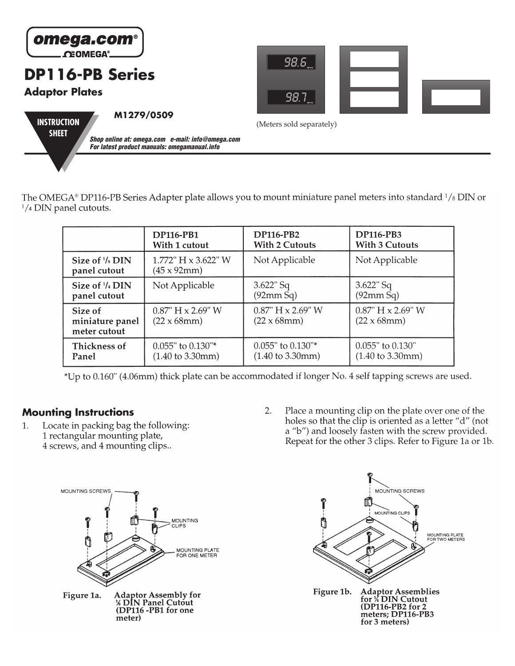

The OMEGA® DP116-PB Series Adapter plate allows you to mount miniature panel meters into standard  $\frac{1}{8}$  DIN or <sup>1</sup>/4 DIN panel cutouts.

|                                            | <b>DP116-PB1</b>                                          | <b>DP116-PB2</b>                                          | <b>DP116-PB3</b>                               |
|--------------------------------------------|-----------------------------------------------------------|-----------------------------------------------------------|------------------------------------------------|
|                                            | With 1 cutout                                             | <b>With 2 Cutouts</b>                                     | <b>With 3 Cutouts</b>                          |
| Size of $\frac{1}{8}$ DIN<br>panel cutout  | 1.772" $H \times 3.622$ " W<br>$(45 \times 92)$ mm $)$    | Not Applicable                                            | Not Applicable                                 |
| Size of $\frac{1}{4}$ DIN                  | Not Applicable                                            | $3.622$ " Sq                                              | $3.622$ " Sq                                   |
| panel cutout                               |                                                           | (92mm Sq)                                                 | (92mm Sq)                                      |
| Size of<br>miniature panel<br>meter cutout | $0.87$ " H $\times$ 2.69" W<br>$(22 \times 68 \text{mm})$ | $0.87$ " H $\times$ 2.69" W<br>$(22 \times 68 \text{mm})$ | $0.87$ " H x 2.69" W<br>$(22 \times 68$ mm $)$ |
| Thickness of                               | $0.055$ " to $0.130$ "*                                   | $0.055$ " to $0.130$ "*                                   | 0.055" to 0.130"                               |
| Panel                                      | $(1.40 \text{ to } 3.30 \text{mm})$                       | $(1.40 \text{ to } 3.30 \text{mm})$                       | $(1.40 \text{ to } 3.30 \text{mm})$            |

\*Up to 0.160" (4.06mm) thick plate can be accommodated if longer No. 4 self tapping screws are used.

## **Mounting Instructions**

Locate in packing bag the following: 1. 1 rectangular mounting plate, 4 screws, and 4 mounting clips..

2. Place a mounting clip on the plate over one of the holes so that the clip is oriented as a letter "d" (not a "b") and loosely fasten with the screw provided. Repeat for the other 3 clips. Refer to Figure 1a or 1b.